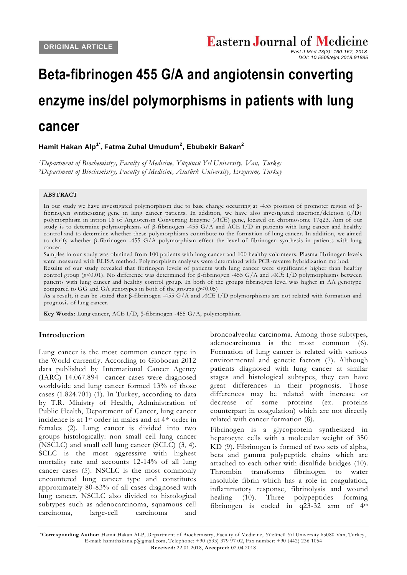*DOI: 10.5505/ejm.2018.91885*

# **Beta-fibrinogen 455 G/A and angiotensin converting enzyme ins/del polymorphisms in patients with lung**

# **cancer**

## **Hamit Hakan Alp1\* , Fatma Zuhal Umudum<sup>2</sup> , Ebubekir Bakan<sup>2</sup>**

*<sup>1</sup>Department of Biochemistry, Faculty of Medicine, Yüzüncü Yıl University, Van, Turkey <sup>2</sup>Department of Biochemistry, Faculty of Medicine, Atatürk University, Erzurum, Turkey*

#### **ABSTRACT**

In our study we have investigated polymorphism due to base change occurring at -455 position of promoter region of βfibrinogen synthesizing gene in lung cancer patients. In addition, we have also investigated insertion/deletion (I/D) polymorphism in intron 16 of Angiotensin Converting Enzyme (*ACE*) gene, located on chromosome 17q23. Aim of our study is to determine polymorphisms of β-fibrinogen -455 G/A and ACE I/D in patients with lung cancer and healthy control and to determine whether these polymorphisms contribute to the formation of lung cancer. In addition, we aimed to clarify whether β-fibrinogen -455 G/A polymorphism effect the level of fibrinogen synthesis in patients with lung cancer.

Samples in our study was obtained from 100 patients with lung cancer and 100 healthy volu nteers. Plasma fibrinogen levels were measured with ELISA method. Polymorphism analyses were determined with PCR-reverse hybridization method.

Results of our study revealed that fibrinogen levels of patients with lung cancer were significantly higher than healthy control group (*p*<0.01). No difference was determined for β-fibrinogen -455 G/A and *ACE* I/D polymorphisms between patients with lung cancer and healthy control group. In both of the groups fibrinogen level was higher in AA genotype compared to GG and GA genotypes in both of the groups  $(p<0.05)$ 

As a result, it can be stated that β-fibrinogen -455 G/A and *ACE* I/D polymorphisms are not related with formation and prognosis of lung cancer.

**Key Words:** Lung cancer, ACE I/D, β-fibrinogen -455 G/A, polymorphism

### **Introduction**

Lung cancer is the most common cancer type in the World currently. According to Globocan 2012 data published by International Cancer Agency (IARC) 14.067.894 cancer cases were diagnosed worldwide and lung cancer formed 13% of those cases (1.824.701) [\(1\)](#page-6-0). In Turkey, according to data by T.R. Ministry of Health, Administration of Public Health, Department of Cancer, lung cancer incidence is at 1st order in males and at 4th order in females [\(2\)](#page-6-1). Lung cancer is divided into two groups histologically: non small cell lung cancer (NSCLC) and small cell lung cancer (SCLC) [\(3,](#page-6-2) [4\)](#page-6-3). SCLC is the most aggressive with highest mortality rate and accounts 12-14% of all lung cancer cases [\(5\)](#page-6-4). NSCLC is the most commonly encountered lung cancer type and constitutes approximately 80-83% of all cases diagnosed with lung cancer. NSCLC also divided to histological subtypes such as adenocarcinoma, squamous cell carcinoma, large-cell carcinoma and

broncoalveolar carcinoma. Among those subtypes, adenocarcinoma is the most common [\(6\)](#page-6-5). Formation of lung cancer is related with various environmental and genetic factors [\(7\)](#page-6-6). Although patients diagnosed with lung cancer at similar stages and histological subtypes, they can have great differences in their prognosis. Those differences may be related with increase or decrease of some proteins (ex. proteins counterpart in coagulation) which are not directly related with cancer formation [\(8\)](#page-6-7).

Fibrinogen is a glycoprotein synthesized in hepatocyte cells with a molecular weight of 350 KD [\(9\)](#page-6-8). Fibrinogen is formed of two sets of alpha, beta and gamma polypeptide chains which are attached to each other with disulfide bridges [\(10\)](#page-6-9). Thrombin transforms fibrinogen to water insoluble fibrin which has a role in coagulation, inflammatory response, fibrinolysis and wound healing [\(10\)](#page-6-9). Three polypeptides forming fibrinogen is coded in  $q23-32$  arm of  $4<sup>th</sup>$ 

**\*Corresponding Author:** Hamit Hakan ALP, Department of Biochemistry, Faculty of Medicine, Yüzüncü Yıl University 65080 Van, Turkey , E-mail: hamithakanalp@gmail.com, Telephone: +90 (533) 379 97 02, Fax number: +90 (442) 236 1054 **Received:** 22.01.2018, **Accepted:** 02.04.2018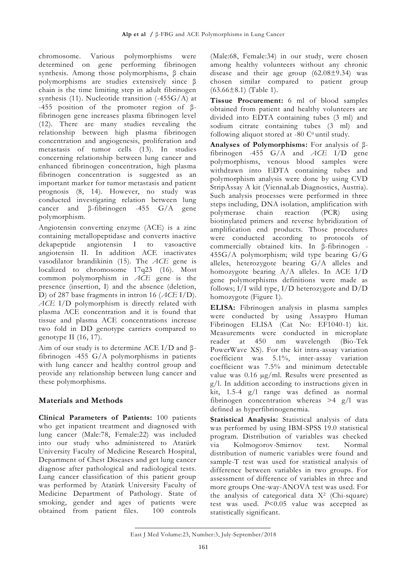chromosome. Various polymorphisms were determined on gene performing fibrinogen synthesis. Among those polymorphisms, β chain polymorphisms are studies extensively since β chain is the time limiting step in adult fibrinogen synthesis [\(11\)](#page-6-10). Nucleotide transition (-455G/A) at -455 position of the promoter region of βfibrinogen gene increases plasma fibrinogen level [\(12\)](#page-6-11). There are many studies revealing the relationship between high plasma fibrinogen concentration and angiogenesis, proliferation and metastasis of tumor cells [\(13\)](#page-6-12). In studies concerning relationship between lung cancer and enhanced fibrinogen concentration, high plasma fibrinogen concentration is suggested as an important marker for tumor metastasis and patient prognosis [\(8,](#page-6-7) [14\)](#page-6-13). However, no study was conducted investigating relation between lung cancer and β-fibrinogen -455 G/A gene polymorphism.

Angiotensin converting enzyme (ACE) is a zinc containing metallopeptidase and converts inactive dekapeptide angiotensin I to vasoactive angiotensin II. In addition ACE inactivates vasodilator brandikinin [\(15\)](#page-6-14). The *ACE* gene is localized to chromosome 17q23 [\(16\)](#page-6-15). Most common polymorphism in *ACE* gene is the presence (insertion, I) and the absence (deletion, D) of 287 base fragments in intron 16 (*ACE* I/D). *ACE* I/D polymorphism is directly related with plasma ACE concentration and it is found that tissue and plasma ACE concentrations increase two fold in DD genotype carriers compared to genotype II [\(16,](#page-6-15) [17\)](#page-6-16).

Aim of our study is to determine ACE I/D and  $\beta$ fibrinogen -455 G/A polymorphisms in patients with lung cancer and healthy control group and provide any relationship between lung cancer and these polymorphisms.

# **Materials and Methods**

**Clinical Parameters of Patients:** 100 patients who get inpatient treatment and diagnosed with lung cancer (Male:78, Female:22) was included into our study who administered to Atatürk University Faculty of Medicine Research Hospital, Department of Chest Diseases and get lung cancer diagnose after pathological and radiological tests. Lung cancer classification of this patient group was performed by Atatürk University Faculty of Medicine Department of Pathology. State of smoking, gender and ages of patients were obtained from patient files. 100 controls

(Male:68, Female:34) in our study, were chosen among healthy volunteers without any chronic disease and their age group (62.08±9.34) was chosen similar compared to patient group  $(63.66 \pm 8.1)$  (Table 1).

**Tissue Procurement:** 6 ml of blood samples obtained from patient and healthy volunteers are divided into EDTA containing tubes (3 ml) and sodium citrate containing tubes (3 ml) and following aliquot stored at  $-80$  C<sup>0</sup> until study.

**Analyses of Polymorphisms:** For analysis of βfibrinogen -455 G/A and *ACE* I/D gene polymorphisms, venous blood samples were withdrawn into EDTA containing tubes and polymorphism analysis were done by using CVD StripAssay A kit (ViennaLab Diagnostics, Austria). Such analysis processes were performed in three steps including, DNA isolation, amplification with polymerase chain reaction (PCR) using biotinylated primers and reverse hybridization of amplification end products. Those procedures were conducted according to protocols of commercially obtained kits. In β-fibrinogen - 455G/A polymorphism; wild type bearing G/G alleles, heterozygote bearing G/A alleles and homozygote bearing A/A alleles. In ACE I/D gene polymorphisms definitions were made as follows; I/I wild type, I/D heterozygote and D/D homozygote (Figure 1).

**ELISA:** Fibrinogen analysis in plasma samples were conducted by using Assaypro Human Fibrinogen ELISA (Cat No: EF1040-1) kit. Measurements were conducted in microplate reader at 450 nm wavelength (Bio-Tek PowerWave XS). For the kit intra-assay variation coefficient was 5.1%, inter-assay variation coefficient was 7.5% and minimum detectable value was 0.16 µg/ml. Results were presented as g/l. In addition according to instructions given in kit, 1.5-4 g/l range was defined as normal fibrinogen concentration whereas >4 g/l was defined as hyperfibrinogenemia.

**Statistical Analysis:** Statistical analysis of data was performed by using IBM-SPSS 19.0 statistical program. Distribution of variables was checked via Kolmogorov-Smirnov test. Normal distribution of numeric variables were found and sample-T test was used for statistical analysis of difference between variables in two groups. For assessment of difference of variables in three and more groups One-way-ANOVA test was used. For the analysis of categorical data X<sup>2</sup> (Chi-square) test was used. *P*<0.05 value was accepted as statistically significant.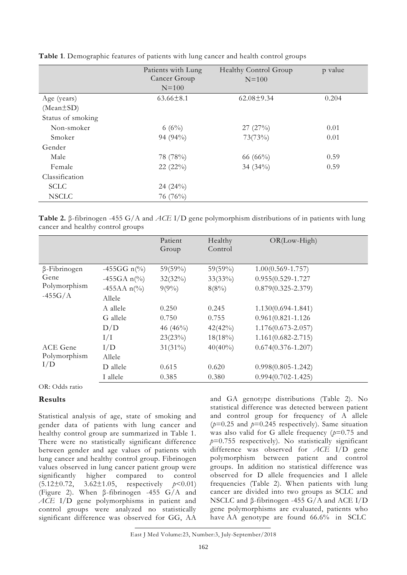|                   | Patients with Lung<br>Cancer Group<br>$N=100$ | Healthy Control Group<br>$N = 100$ | p value |
|-------------------|-----------------------------------------------|------------------------------------|---------|
| Age (years)       | $63.66 \pm 8.1$                               | $62.08 \pm 9.34$                   | 0.204   |
| $(Mean \pm SD)$   |                                               |                                    |         |
| Status of smoking |                                               |                                    |         |
| Non-smoker        | 6 $(6\%)$                                     | 27(27%)                            | 0.01    |
| Smoker            | 94 (94%)                                      | 73(73%)                            | 0.01    |
| Gender            |                                               |                                    |         |
| Male              | 78 (78%)                                      | 66 $(66\%)$                        | 0.59    |
| Female            | 22(22%)                                       | 34 $(34\%)$                        | 0.59    |
| Classification    |                                               |                                    |         |
| <b>SCLC</b>       | 24(24%)                                       |                                    |         |
| <b>NSCLC</b>      | 76 (76%)                                      |                                    |         |

**Table 1**. Demographic features of patients with lung cancer and health control groups

**Table 2.** β-fibrinogen -455 G/A and *ACE* I/D gene polymorphism distributions of in patients with lung cancer and healthy control groups

|                                                          |                                        | Patient<br>Group         | Healthy<br>Control       | $OR(Low-High)$                                  |
|----------------------------------------------------------|----------------------------------------|--------------------------|--------------------------|-------------------------------------------------|
| $\beta$ -Fibrinogen<br>Gene<br>Polymorphism<br>$-455G/A$ | $-455GG$ n(%)<br>$-455GA n\frac{0}{0}$ | $59(59\%)$<br>$32(32\%)$ | $59(59\%)$<br>$33(33\%)$ | $1.00(0.569 - 1.757)$<br>$0.955(0.529 - 1.727)$ |
|                                                          | $-455AA \; n\frac{0}{0}$<br>Allele     | $9(9\%)$                 | $8(8\%)$                 | $0.879(0.325 - 2.379)$                          |
|                                                          | A allele                               | 0.250                    | 0.245                    | $1.130(0.694 - 1.841)$                          |
|                                                          | G allele                               | 0.750                    | 0.755                    | $0.961(0.821 - 1.126)$                          |
|                                                          | D/D                                    | 46 $(46\%)$              | 42(42%)                  | $1.176(0.673 - 2.057)$                          |
|                                                          | I/I                                    | 23(23%)                  | $18(18\%)$               | $1.161(0.682 - 2.715)$                          |
| <b>ACE</b> Gene<br>Polymorphism<br>I/D                   | I/D                                    | $31(31\%)$               | $40(40\%)$               | $0.674(0.376 - 1.207)$                          |
|                                                          | Allele                                 |                          |                          |                                                 |
|                                                          | D allele                               | 0.615                    | 0.620                    | $0.998(0.805 - 1.242)$                          |
|                                                          | I allele                               | 0.385                    | 0.380                    | $0.994(0.702 - 1.425)$                          |

OR: Odds ratio

#### **Results**

Statistical analysis of age, state of smoking and gender data of patients with lung cancer and healthy control group are summarized in Table 1. There were no statistically significant difference between gender and age values of patients with lung cancer and healthy control group. Fibrinogen values observed in lung cancer patient group were<br>significantly higher compared to control significantly higher compared to control (5.12±0.72, 3.62±1.05, respectively *p*<0.01) (Figure 2). When β-fibrinogen -455 G/A and *ACE* I/D gene polymorphisms in patient and control groups were analyzed no statistically significant difference was observed for GG, AA

and GA genotype distributions (Table 2). No statistical difference was detected between patient and control group for frequency of A allele (*p*=0.25 and *p*=0.245 respectively). Same situation was also valid for G allele frequency ( $p=0.75$  and *p*=0.755 respectively). No statistically significant difference was observed for *ACE* I/D gene polymorphism between patient and control groups. In addition no statistical difference was observed for D allele frequencies and I allele frequencies (Table 2). When patients with lung cancer are divided into two groups as SCLC and NSCLC and β-fibrinogen -455 G/A and ACE I/D gene polymorphisms are evaluated, patients who have AA genotype are found 66.6% in SCLC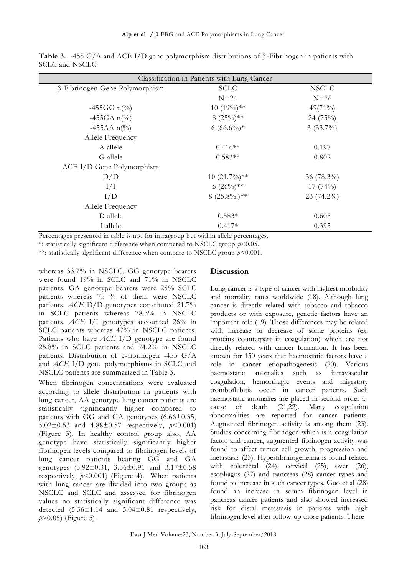**Table 3.** -455 G/A and ACE I/D gene polymorphism distributions of β-Fibrinogen in patients with SCLC and NSCLC

| Classification in Patients with Lung Cancer |                |               |  |  |  |
|---------------------------------------------|----------------|---------------|--|--|--|
| β-Fibrinogen Gene Polymorphism              | <b>SCLC</b>    | <b>NSCLC</b>  |  |  |  |
|                                             | $N=24$         | $N=76$        |  |  |  |
| $-455GG \; n\frac{\omega_0}{\omega_0}$      | $10(19\%)**$   | $49(71\%)$    |  |  |  |
| $-455GA \; n\frac{6}{6}$                    | $8(25\%)**$    | 24 (75%)      |  |  |  |
| $-455AA \; n\frac{6}{6}$                    | 6 $(66.6\%)*$  | $3(33.7\%)$   |  |  |  |
| Allele Frequency                            |                |               |  |  |  |
| A allele                                    | $0.416**$      | 0.197         |  |  |  |
| G allele                                    | $0.583**$      | 0.802         |  |  |  |
| ACE I/D Gene Polymorphism                   |                |               |  |  |  |
| D/D                                         | $10(21.7\%)**$ | 36 $(78.3\%)$ |  |  |  |
| I/I                                         | 6 $(26\%)$ **  | 17(74%)       |  |  |  |
| I/D                                         | $8(25.8\%)$ ** | $23(74.2\%)$  |  |  |  |
| Allele Frequency                            |                |               |  |  |  |
| D allele                                    | $0.583*$       | 0.605         |  |  |  |
| I allele                                    | $0.417*$       | 0.395         |  |  |  |

Percentages presented in table is not for intragroup but within allele percentages.

\*: statistically significant difference when compared to NSCLC group *p*<0.05.

\*\*: statistically significant difference when compare to NSCLC group *p*<0.001.

whereas 33.7% in NSCLC. GG genotype bearers were found 19% in SCLC and 71% in NSCLC patients. GA genotype bearers were 25% SCLC patients whereas 75 % of them were NSCLC patients. *ACE* D/D genotypes constituted 21.7% in SCLC patients whereas 78.3% in NSCLC patients. *ACE* I/I genotypes accounted 26% in SCLC patients whereas 47% in NSCLC patients. Patients who have *ACE* I/D genotype are found 25.8% in SCLC patients and 74.2% in NSCLC patients. Distribution of β-fibrinogen -455 G/A and *ACE* I/D gene polymorphisms in SCLC and NSCLC patients are summarized in Table 3.

When fibrinogen concentrations were evaluated according to allele distribution in patients with lung cancer, AA genotype lung cancer patients are statistically significantly higher compared to patients with GG and GA genotypes (6.66±0.35, 5.02 $\pm$ 0.53 and 4.88 $\pm$ 0.57 respectively,  $p$ <0.001) (Figure 3). In healthy control group also, AA genotype have statistically significantly higher fibrinogen levels compared to fibrinogen levels of lung cancer patients bearing GG and GA genotypes  $(5.92 \pm 0.31, 3.56 \pm 0.91$  and  $3.17 \pm 0.58$ respectively,  $p < 0.001$ ) (Figure 4). When patients with lung cancer are divided into two groups as NSCLC and SCLC and assessed for fibrinogen values no statistically significant difference was detected  $(5.36 \pm 1.14$  and  $5.04 \pm 0.81$  respectively, *p*>0.05) (Figure 5).

#### **Discussion**

Lung cancer is a type of cancer with highest morbidity and mortality rates worldwide [\(18\)](#page-6-17). Although lung cancer is directly related with tobacco and tobacco products or with exposure, genetic factors have an important role [\(19\)](#page-7-0). Those differences may be related with increase or decrease of some proteins (ex. proteins counterpart in coagulation) which are not directly related with cancer formation. It has been known for 150 years that haemostatic factors have a role in cancer etiopathogenesis [\(20\)](#page-7-1). Various haemostatic anomalies such as intravascular coagulation, hemorrhagic events and migratory tromboflebitis occur in cancer patients. Such haemostatic anomalies are placed in second order as cause of death [\(21](#page-7-2)[,22\)](#page-7-3). Many coagulation abnormalities are reported for cancer patients. Augmented fibrinogen activity is among them [\(23\)](#page-7-4). Studies concerning fibrinogen which is a coagulation factor and cancer, augmented fibrinogen activity was found to affect tumor cell growth, progression and metastasis [\(23\)](#page-7-4). Hyperfibrinogenemia is found related with colorectal [\(24\)](#page-7-5), cervical [\(25\)](#page-7-6), over [\(26\)](#page-7-7), esophagus [\(27\)](#page-7-8) and pancreas [\(28\)](#page-7-9) cancer types and found to increase in such cancer types. Guo et al [\(28\)](#page-7-9) found an increase in serum fibrinogen level in pancreas cancer patients and also showed increased risk for distal metastasis in patients with high fibrinogen level after follow-up those patients. There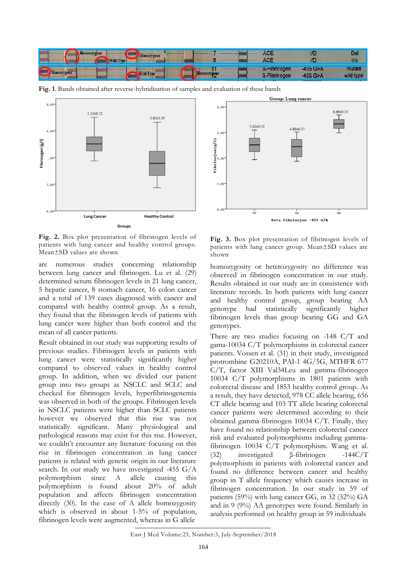

**Fig. 1**. Bands obtained after reverse-hybridization of samples and evaluation of these bands



**Fig. 2.** Box plot presentation of fibrinogen levels of patients with lung cancer and healthy control groups. Mean±SD values are shown

are numerous studies concerning relationship between lung cancer and fibrinogen. Lu et al. [\(29\)](#page-7-10) determined serum fibrinogen levels in 21 lung cancer, 5 hepatic cancer, 8 stomach cancer, 16 colon cancer and a total of 139 cases diagnosed with cancer and compared with healthy control group. As a result, they found that the fibrinogen levels of patients with lung cancer were higher than both control and the mean of all cancer patients.

Result obtained in our study was supporting results of previous studies. Fibrinogen levels in patients with lung cancer were statistically significantly higher compared to observed values in healthy control group. In addition, when we divided our patient group into two groups as NSCLC and SCLC and checked for fibrinogen levels, hyperfibrinogenemia was observed in both of the groups. Fibrinogen levels in NSCLC patients were higher than SCLC patients however we observed that this rise was not statistically significant. Many physiological and pathological reasons may exist for this rise. However, we couldn't encounter any literature focusing on this rise in fibrinogen concentration in lung cancer patients is related with genetic origin in our literature search. In our study we have investigated -455 G/A polymorphism since A allele causing this polymorphism is found about 20% of adult population and affects fibrinogen concentration directly [\(30\)](#page-7-11). In the case of A allele homozygosity which is observed in about 1-5% of population, fibrinogen levels were augmented, whereas in G allele



**Fig. 3.** Box plot presentation of fibrinogen levels of patients with lung cancer group. Mean±SD values are shown

homozygosity or heterozygosity no difference was observed in fibrinogen concentration in our study. Results obtained in our study are in consistence with literature records. In both patients with lung cancer and healthy control group, group bearing AA genotype had statistically significantly higher fibrinogen levels than group bearing GG and GA genotypes.

There are two studies focusing on -148 C/T and gama-10034 C/T polymorphisms in colorectal cancer patients. Vossen et al. [\(31\)](#page-7-12) in their study, investigated protrombine G20210A, PAI-1 4G/5G, MTHFR 677 C/T, factor XIII Val34Leu and gamma-fibrinogen 10034 C/T polymorphisms in 1801 patients with colorectal disease and 1853 healthy control group. As a result, they have detected, 978 CC allele bearing, 656 CT allele bearing and 103 TT allele bearing colorectal cancer patients were determined according to their obtained gamma-fibrinogen 10034 C/T. Finally, they have found no relationship between colorectal cancer risk and evaluated polymorphisms including gammafibrinogen 10034 C/T polymorphism. Wang et al. [\(32\)](#page-7-13) investigated β-fibrinogen -144C/T polymorphism in patients with colorectal cancer and found no difference between cancer and healthy group in T allele frequency which causes increase in fibrinogen concentration. In our study in 59 of patients (59%) with lung cancer GG, in 32 (32%) GA and in 9 (9%) AA genotypes were found. Similarly in analysis performed on healthy group in 59 individuals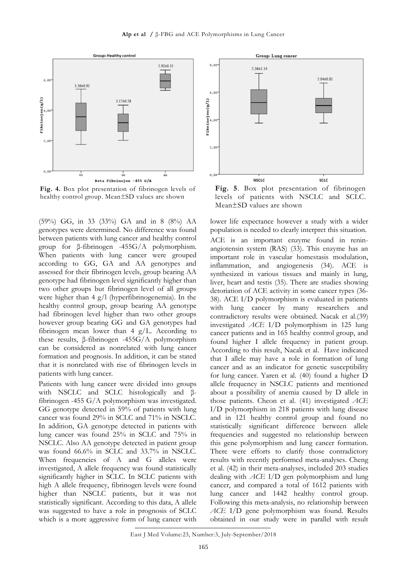**Alp et al /** β-FBG and ACE Polymorphisms in Lung Cancer



**Fig. 4.** Box plot presentation of fibrinogen levels of healthy control group. Mean±SD values are shown

(59%) GG, in 33 (33%) GA and in 8 (8%) AA genotypes were determined. No difference was found between patients with lung cancer and healthy control group for β-fibrinogen -455G/A polymorphism. When patients with lung cancer were grouped according to GG, GA and AA genotypes and assessed for their fibrinogen levels, group bearing AA genotype had fibrinogen level significantly higher than two other groups but fibrinogen level of all groups were higher than 4 g/l (hyperfibrinogenemia). In the healthy control group, group bearing AA genotype had fibrinogen level higher than two other groups however group bearing GG and GA genotypes had fibrinogen mean lower than 4 g/L. According to these results, β-fibrinogen -455G/A polymorphism can be considered as nonrelated with lung cancer formation and prognosis. In addition, it can be stated that it is nonrelated with rise of fibrinogen levels in patients with lung cancer.

Patients with lung cancer were divided into groups with NSCLC and SCLC histologically and βfibrinogen -455 G/A polymorphism was investigated. GG genotype detected in 59% of patients with lung cancer was found 29% in SCLC and 71% in NSCLC. In addition, GA genotype detected in patients with lung cancer was found 25% in SCLC and 75% in NSCLC. Also AA genotype detected in patient group was found 66.6% in SCLC and 33.7% in NSCLC. When frequencies of A and G alleles were investigated, A allele frequency was found statistically significantly higher in SCLC. In SCLC patients with high A allele frequency, fibrinogen levels were found higher than NSCLC patients, but it was not statistically significant. According to this data, A allele was suggested to have a role in prognosis of SCLC which is a more aggressive form of lung cancer with



**Fig. 5**. Box plot presentation of fibrinogen levels of patients with NSCLC and SCLC. Mean±SD values are shown

lower life expectance however a study with a wider population is needed to clearly interpret this situation. ACE is an important enzyme found in reninangiotensin system (RAS) [\(33\)](#page-7-14). This enzyme has an important role in vascular homestasis modulation, inflammation, and angiogenesis [\(34\)](#page-7-15). ACE is synthesized in various tissues and mainly in lung, liver, heart and testis [\(35\)](#page-7-16). There are studies showing detoriation of ACE activity in some cancer types [\(36-](#page-7-17) [38\)](#page-7-17). ACE I/D polymorphism is evaluated in patients with lung cancer by many researchers and contradictory results were obtained. Nacak et al.[\(39\)](#page-7-18) investigated *ACE* I/D polymorphism in 125 lung cancer patients and in 165 healthy control group, and found higher I allele frequency in patient group. According to this result, Nacak et al. Have indicated that I allele may have a role in formation of lung cancer and as an indicator for genetic susceptibility for lung cancer. Yaren et al. [\(40\)](#page-7-19) found a higher D allele frequency in NSCLC patients and mentioned about a possibility of anemia caused by D allele in those patients. Cheon et al. [\(41\)](#page-7-20) investigated *ACE* I/D polymorphism in 218 patients with lung disease and in 121 healthy control group and found no statistically significant difference between allele frequencies and suggested no relationship between this gene polymorphism and lung cancer formation. There were efforts to clarify those contradictory results with recently performed meta-analyses. Cheng et al. [\(42\)](#page-7-21) in their meta-analyses, included 203 studies dealing with *ACE* I/D gen polymorphism and lung cancer, and compared a total of 1612 patients with lung cancer and 1442 healthy control group. Following this meta-analysis, no relationship between *ACE* I/D gene polymorphism was found. Results obtained in our study were in parallel with result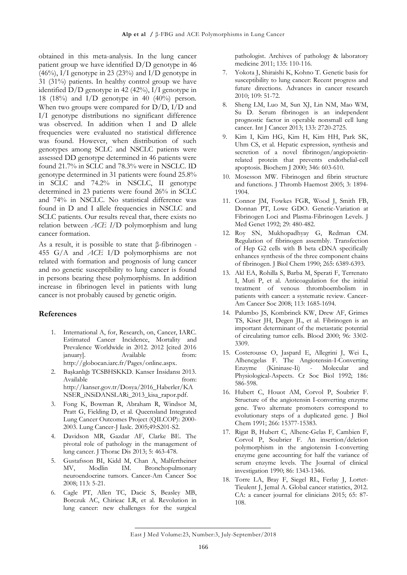obtained in this meta-analysis. In the lung cancer patient group we have identified D/D genotype in 46  $(46\%)$ , I/I genotype in 23 (23%) and I/D genotype in 31 (31%) patients. In healthy control group we have identified  $D/D$  genotype in 42 (42%),  $I/I$  genotype in 18 (18%) and I/D genotype in 40 (40%) person. When two groups were compared for D/D, I/D and I/I genotype distributions no significant difference was observed. In addition when I and D allele frequencies were evaluated no statistical difference was found. However, when distribution of such genotypes among SCLC and NSCLC patients were assessed DD genotype determined in 46 patients were found 21.7% in SCLC and 78.3% were in NSCLC. ID genotype determined in 31 patients were found 25.8% in SCLC and 74.2% in NSCLC, II genotype determined in 23 patients were found 26% in SCLC and 74% in NSCLC. No statistical difference was found in D and I allele frequencies in NSCLC and SCLC patients. Our results reveal that, there exists no relation between *ACE I*/D polymorphism and lung cancer formation.

As a result, it is possible to state that β-fibrinogen - 455 G/A and *ACE* I/D polymorphisms are not related with formation and prognosis of lung cancer and no genetic susceptibility to lung cancer is found in persons bearing these polymorphisms. In addition increase in fibrinogen level in patients with lung cancer is not probably caused by genetic origin.

#### **References**

- <span id="page-6-0"></span>1. International A, for, Research, on, Cancer, IARC. Estimated Cancer Incidence, Mortality and Prevalence Worldwide in 2012. 2012 [cited 2016 january]. Available from: [http://globocan.iarc.fr/Pages/online.aspx.](http://globocan.iarc.fr/Pages/online.aspx)
- <span id="page-6-1"></span>2. Başkanlığı TCSBHSKKD. Kanser İnsidansı 2013. Available from: [http://kanser.gov.tr/Dosya/2016\\_Haberler/KA](http://kanser.gov.tr/Dosya/2016_Haberler/KANSER_iNSiDANSLARi_2013_kisa_rapor.pdf) [NSER\\_iNSiDANSLARi\\_2013\\_kisa\\_rapor.pdf.](http://kanser.gov.tr/Dosya/2016_Haberler/KANSER_iNSiDANSLARi_2013_kisa_rapor.pdf)
- <span id="page-6-2"></span>3. Fong K, Bowman R, Abraham R, Windsor M, Pratt G, Fielding D, et al. Queensland Integrated Lung Cancer Outcomes Project (QILCOP): 2000- 2003. Lung Cancer-J Iaslc. 2005;49:S201-S2.
- <span id="page-6-3"></span>4. Davidson MR, Gazdar AF, Clarke BE. The pivotal role of pathology in the management of lung cancer. J Thorac Dis 2013; 5: 463-478.
- <span id="page-6-4"></span>5. Gustafsson BI, Kidd M, Chan A, Malfertheiner MV, Modlin IM. Bronchopulmonary neuroendocrine tumors. Cancer-Am Cancer Soc 2008; 113: 5-21.
- <span id="page-6-5"></span>6. Cagle PT, Allen TC, Dacic S, Beasley MB, Borczuk AC, Chirieac LR, et al. Revolution in lung cancer: new challenges for the surgical

pathologist. Archives of pathology & laboratory medicine 2011; 135: 110-116.

- <span id="page-6-6"></span>7. Yokota J, Shiraishi K, Kohno T. Genetic basis for susceptibility to lung cancer: Recent progress and future directions. Advances in cancer research 2010; 109: 51-72.
- <span id="page-6-7"></span>8. Sheng LM, Luo M, Sun XJ, Lin NM, Mao WM, Su D. Serum fibrinogen is an independent prognostic factor in operable nonsmall cell lung cancer. Int J Cancer 2013; 133: 2720-2725.
- <span id="page-6-8"></span>9. Kim I, Kim HG, Kim H, Kim HH, Park SK, Uhm CS, et al. Hepatic expression, synthesis and secretion of a novel fibrinogen/angiopoietinrelated protein that prevents endothelial-cell apoptosis. Biochem J 2000; 346: 603-610.
- <span id="page-6-9"></span>10. Mosesson MW. Fibrinogen and fibrin structure and functions. J Thromb Haemost 2005; 3: 1894- 1904.
- <span id="page-6-10"></span>11. Connor JM, Fowkes FGR, Wood J, Smith FB, Donnan PT, Lowe GDO. Genetic-Variation at Fibrinogen Loci and Plasma-Fibrinogen Levels. J Med Genet 1992; 29: 480-482.
- <span id="page-6-11"></span>12. Roy SN, Mukhopadhyay G, Redman CM. Regulation of fibrinogen assembly. Transfection of Hep G2 cells with B beta cDNA specifically enhances synthesis of the three component chains of fibrinogen. J Biol Chem 1990; 265: 6389-6393.
- <span id="page-6-12"></span>13. Akl EA, Rohilla S, Barba M, Sperati F, Terrenato I, Muti P, et al. Anticoagulation for the initial treatment of venous thromboembolism in patients with cancer: a systematic review. Cancer-Am Cancer Soc 2008; 113: 1685-1694.
- <span id="page-6-13"></span>14. Palumbo JS, Kombrinck KW, Drew AF, Grimes TS, Kiser JH, Degen JL, et al. Fibrinogen is an important determinant of the metastatic potential of circulating tumor cells. Blood 2000; 96: 3302- 3309.
- <span id="page-6-14"></span>15. Costerousse O, Jaspard E, Allegrini J, Wei L, Alhencgelas F. The Angiotensin-I-Converting Enzyme (Kininase-Ii) - Molecular and Physiological-Aspects. Cr Soc Biol 1992; 186: 586-598.
- <span id="page-6-15"></span>16. Hubert C, Houot AM, Corvol P, Soubrier F. Structure of the angiotensin I-converting enzyme gene. Two alternate promoters correspond to evolutionary steps of a duplicated gene. J Biol Chem 1991; 266: 15377-15383.
- <span id="page-6-16"></span>17. Rigat B, Hubert C, Alhenc-Gelas F, Cambien F, Corvol P, Soubrier F. An insertion/deletion polymorphism in the angiotensin I-converting enzyme gene accounting for half the variance of serum enzyme levels. The Journal of clinical investigation 1990; 86: 1343-1346.
- <span id="page-6-17"></span>18. Torre LA, Bray F, Siegel RL, Ferlay J, Lortet-Tieulent J, Jemal A. Global cancer statistics, 2012. CA: a cancer journal for clinicians 2015; 65: 87- 108.